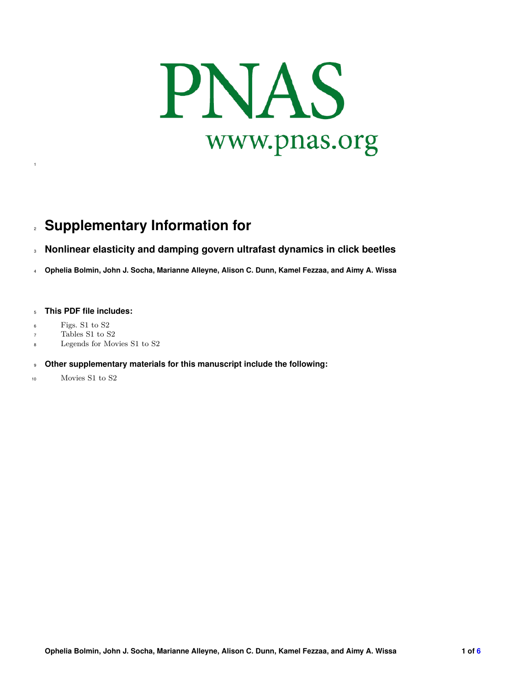

## **Supplementary Information for**

## **Nonlinear elasticity and damping govern ultrafast dynamics in click beetles**

**Ophelia Bolmin, John J. Socha, Marianne Alleyne, Alison C. Dunn, Kamel Fezzaa, and Aimy A. Wissa**

## **This PDF file includes:**

Figs. S1 to S2

- Tables S1 to S2
- Legends for Movies S1 to S2

## **Other supplementary materials for this manuscript include the following:**

Movies S1 to S2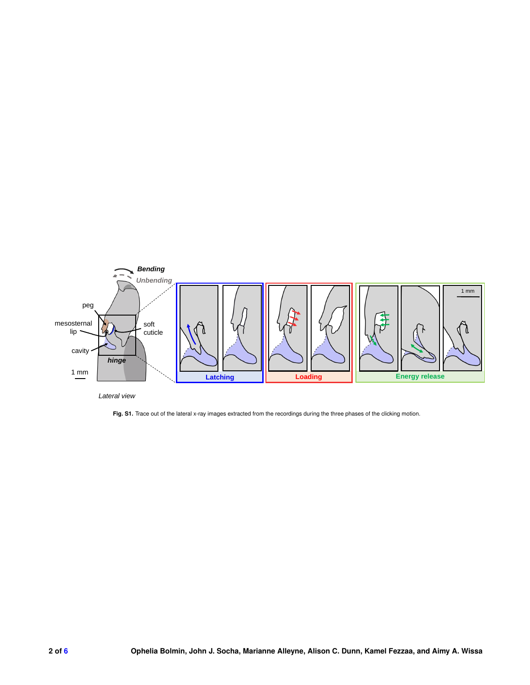

*Lateral view*

Fig. S1. Trace out of the lateral x-ray images extracted from the recordings during the three phases of the clicking motion.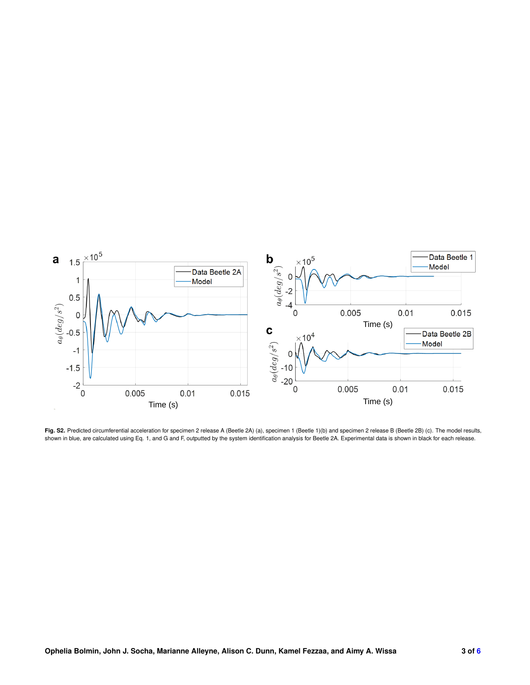

Fig. S2. Predicted circumferential acceleration for specimen 2 release A (Beetle 2A) (a), specimen 1 (Beetle 1)(b) and specimen 2 release B (Beetle 2B) (c). The model results, shown in blue, are calculated using Eq. 1, and G and F, outputted by the system identification analysis for Beetle 2A. Experimental data is shown in black for each release.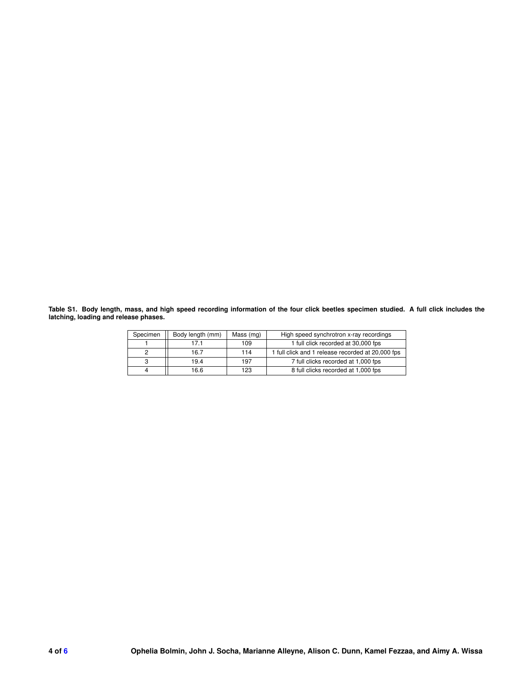**Table S1. Body length, mass, and high speed recording information of the four click beetles specimen studied. A full click includes the latching, loading and release phases.**

| Specimen | Body length (mm) | Mass (mg) | High speed synchrotron x-ray recordings           |  |
|----------|------------------|-----------|---------------------------------------------------|--|
|          | 17 1             | 109       | 1 full click recorded at 30,000 fps               |  |
|          | 16.7             | 114       | 1 full click and 1 release recorded at 20,000 fps |  |
|          | 19.4             | 197       | 7 full clicks recorded at 1,000 fps               |  |
|          | 16.6             | 123       | 8 full clicks recorded at 1,000 fps               |  |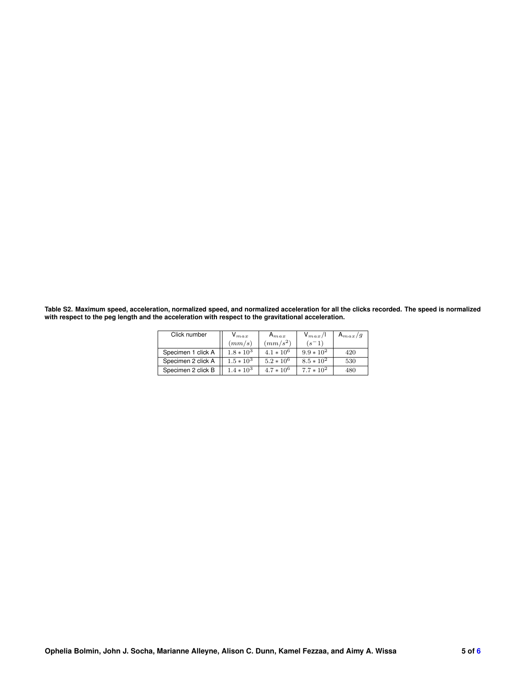**Table S2. Maximum speed, acceleration, normalized speed, and normalized acceleration for all the clicks recorded. The speed is normalized with respect to the peg length and the acceleration with respect to the gravitational acceleration.**

| Click number       | $V_{max}$    | $A_{max}$    | $V_{max}/I$  | $A_{max}/g$ |
|--------------------|--------------|--------------|--------------|-------------|
|                    | (mm/s)       | $(mm/s^2)$   | $(s-1)$      |             |
| Specimen 1 click A | $1.8 * 10^3$ | $4.1 * 10^6$ | $9.9 * 10^2$ | 420         |
| Specimen 2 click A | $1.5 * 10^3$ | $5.2 * 10^6$ | $8.5 * 10^2$ | 530         |
| Specimen 2 click B | $1.4 * 10^3$ | $4.7 * 10^6$ | $7.7 * 10^2$ | 480         |